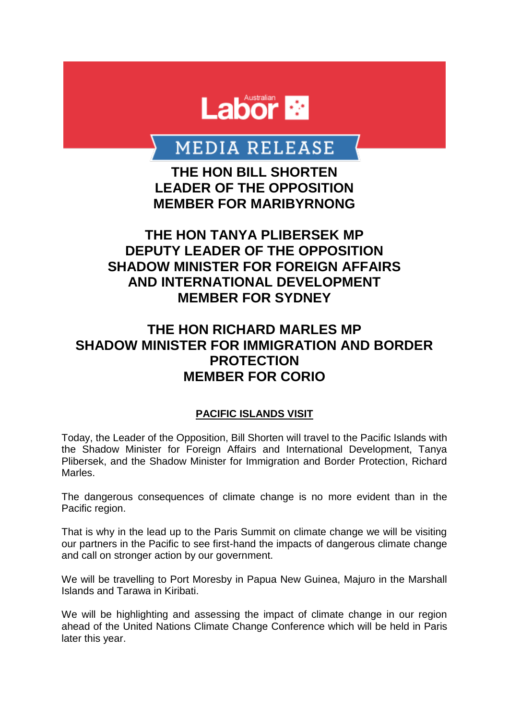

# **MEDIA RELEASE**

**THE HON BILL SHORTEN LEADER OF THE OPPOSITION MEMBER FOR MARIBYRNONG**

### **THE HON TANYA PLIBERSEK MP DEPUTY LEADER OF THE OPPOSITION SHADOW MINISTER FOR FOREIGN AFFAIRS AND INTERNATIONAL DEVELOPMENT MEMBER FOR SYDNEY**

## **THE HON RICHARD MARLES MP SHADOW MINISTER FOR IMMIGRATION AND BORDER PROTECTION MEMBER FOR CORIO**

#### **PACIFIC ISLANDS VISIT**

Today, the Leader of the Opposition, Bill Shorten will travel to the Pacific Islands with the Shadow Minister for Foreign Affairs and International Development, Tanya Plibersek, and the Shadow Minister for Immigration and Border Protection, Richard Marles.

The dangerous consequences of climate change is no more evident than in the Pacific region.

That is why in the lead up to the Paris Summit on climate change we will be visiting our partners in the Pacific to see first-hand the impacts of dangerous climate change and call on stronger action by our government.

We will be travelling to Port Moresby in Papua New Guinea, Majuro in the Marshall Islands and Tarawa in Kiribati.

We will be highlighting and assessing the impact of climate change in our region ahead of the United Nations Climate Change Conference which will be held in Paris later this year.